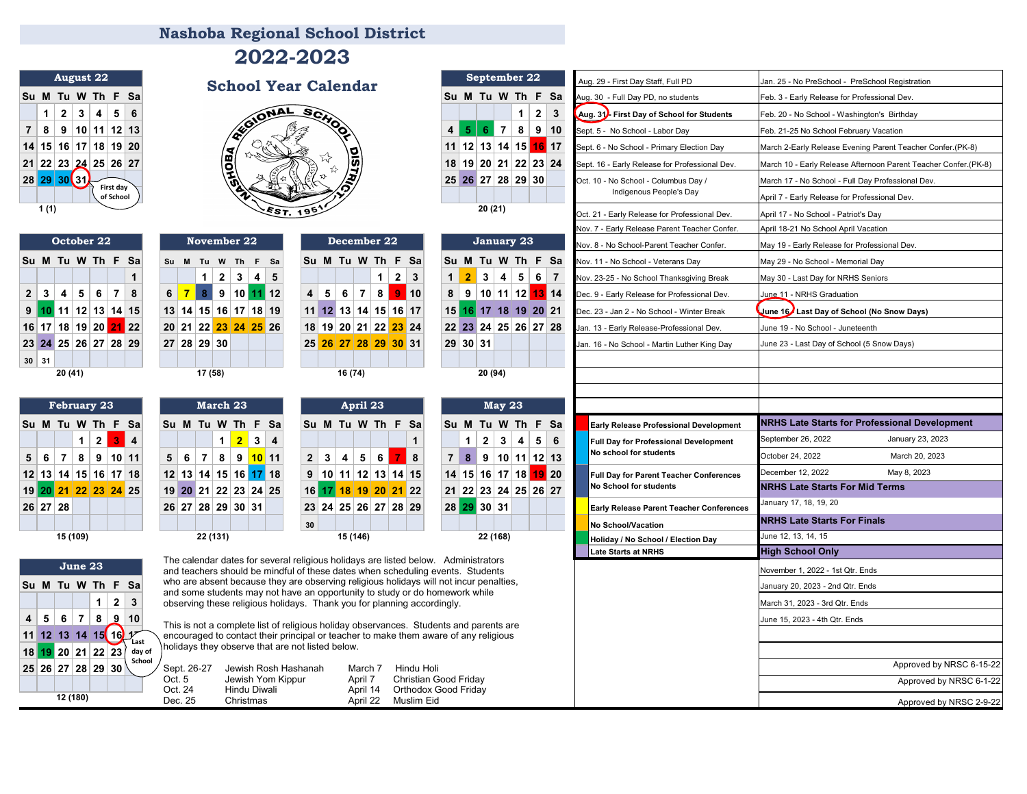## Aug. 29 - First Day Staff, Full PD Jan. 25 - No PreSchool - PreSchool Registration Su **M** Tu **W** Th **F** Sa<br>
1 2 3 4 5 6<br>
7 8 9 10 11 12 13<br>
2 3 4 5 6<br>
2 3 4 5 6<br>
2 3 4 5 6 **1 2 3 4 5 6 1 2 3 Aug. 31 - First Day of School for Students** Feb. 20 - No School - Washington's Birthday **7 8 9 10 11 12 13 4 5 6 7 8 9 10 11 12 13** 14 15 16 17 March 2-Early Release Evening Parent Teacher Confer (PK-8) 14 15 16 17 18 19 20<br>21 22 23 24 25 26 27<br>22 23 24 25 26 27 **28 29 30 30 March 17 - No School - Full Day Professional Dev. (199 128 29 128 29 128 29 130 Oct. 10 - No School - Columbus Day / March 17 - No School - Full Day Professional Dev.** Indigenous People's Day Markt April 7 - Early Release for Professional Dev. **Nashoba Regional School District August 22 September 22 School Year Calendar 2022-2023 First day of School**

| October 22           |  |  |  |                       |  |   |  |  |  |  |
|----------------------|--|--|--|-----------------------|--|---|--|--|--|--|
| Su M Tu W Th F Sa    |  |  |  |                       |  |   |  |  |  |  |
|                      |  |  |  |                       |  | 1 |  |  |  |  |
|                      |  |  |  | 2 3 4 5 6 7 8         |  |   |  |  |  |  |
|                      |  |  |  | $9$ 10 11 12 13 14 15 |  |   |  |  |  |  |
|                      |  |  |  | 16 17 18 19 20 21 22  |  |   |  |  |  |  |
| 23 24 25 26 27 28 29 |  |  |  |                       |  |   |  |  |  |  |
| $30 \mid 31$         |  |  |  |                       |  |   |  |  |  |  |
| 20 (41)              |  |  |  |                       |  |   |  |  |  |  |

| February 23       |          |  |  |                          |  |  |  |  |  |  |
|-------------------|----------|--|--|--------------------------|--|--|--|--|--|--|
| Su M Tu W Th F Sa |          |  |  |                          |  |  |  |  |  |  |
|                   |          |  |  | $1 \mid 2 \mid 3 \mid 4$ |  |  |  |  |  |  |
|                   |          |  |  | 5 6 7 8 9 10 11          |  |  |  |  |  |  |
|                   |          |  |  | 12 13 14 15 16 17 18     |  |  |  |  |  |  |
|                   |          |  |  | 19 20 21 22 23 24 25     |  |  |  |  |  |  |
|                   | 26 27 28 |  |  |                          |  |  |  |  |  |  |
|                   |          |  |  |                          |  |  |  |  |  |  |
|                   | 15 (109) |  |  |                          |  |  |  |  |  |  |

| 20 (41) |    |              |                 |    |    |    | 17 (58)         |                 |                 |                 |    |                |                 | 16 (74)         |                 |                 |    |    |    |          | 20 (94) |        |   |
|---------|----|--------------|-----------------|----|----|----|-----------------|-----------------|-----------------|-----------------|----|----------------|-----------------|-----------------|-----------------|-----------------|----|----|----|----------|---------|--------|---|
|         |    | February 23  |                 |    |    |    |                 |                 | March 23        |                 |    |                |                 |                 | April 23        |                 |    |    |    |          |         | May 23 |   |
| Tu      | W  |              | Th F            | Sa | Su | м  | Tu              | W               | Th F            |                 | Sa | Su             | м               | Tu              |                 | W Th F Sa       |    |    | Su | M        | Tu      | W TI   |   |
|         | 1  | $\mathbf{2}$ | 3               | 4  |    |    |                 | 1               | $\overline{2}$  | 3               | 4  |                |                 |                 |                 |                 |    | 1  |    | 1        | 2       | 3      | 4 |
| 7       | 8  | 9            | 10 <sup>1</sup> | 11 | 5  | 6  | 7               | 8               | 9               | 10 <sup>1</sup> | 11 | $\overline{2}$ | 3               | 4               | 5               | 6               | 7  | 8  | 7  | 8        | 9       | 10 1   |   |
| 14      | 15 | 16           | 17 <sup>1</sup> | 18 | 12 | 13 | 14 <sup>1</sup> | 15 <sup>1</sup> | $16$ 17         |                 | 18 | 9              | 10              | 11              | 12 <sup>1</sup> | 13 <sup>1</sup> | 14 | 15 | 14 | 15       | 16      | 17 18  |   |
| 21      | 22 |              | 23 24           | 25 | 19 | 20 | 21              |                 | 22 23 24        |                 | 25 | 16             |                 | 18              | 19              | 20              | 21 | 22 | 21 | 22       | 23      | 24 2   |   |
| 28      |    |              |                 |    | 26 | 27 |                 | 28 29           | 30 <sup>1</sup> | 31              |    | 23             | 24 <sup>1</sup> | 25 <sup>1</sup> |                 | 26 27 28 29     |    |    |    | 28 29 30 |         | 31     |   |
|         |    |              |                 |    |    |    |                 |                 |                 |                 |    | 30             |                 |                 |                 |                 |    |    |    |          |         |        |   |

| March 23       |    |                                                              |  |                |   |
|----------------|----|--------------------------------------------------------------|--|----------------|---|
| Tu W Th F Sal  |    |                                                              |  | Su N           |   |
|                | 1. | $\begin{array}{ c c c c c }\n\hline\n2 & 3 & 4\n\end{array}$ |  |                |   |
| 7 <sup>1</sup> |    | 8 9 <mark>10</mark> 11                                       |  | 2 <sup>1</sup> | 3 |
| 14 15 16 17 18 |    |                                                              |  | 9 1            |   |
| 21 22 23 24 25 |    |                                                              |  | $16$ 1         |   |
| 28 29 30 31    |    |                                                              |  | 23 2           |   |
|                |    |                                                              |  | 30             |   |
| 88.148.4V      |    |                                                              |  |                |   |

|   |                |              |   |                |          | 20(          |
|---|----------------|--------------|---|----------------|----------|--------------|
|   |                |              |   |                |          |              |
|   | 23             |              |   |                |          | M            |
|   |                | Th F Sa      |   |                | Su M Tu  |              |
|   |                |              | 1 |                | 1        | $\mathbf{2}$ |
|   | 6 <sup>1</sup> | $\mathbf{7}$ | 8 | $\overline{7}$ | 8        | 9            |
|   |                | 13 14 15     |   |                | 14 15 16 |              |
| ı |                | 20 21 22     |   |                | 21 22 23 |              |
|   |                | 27 28 29     |   |                | 28 29 30 |              |
|   |                |              |   |                |          |              |

| Sept. 26-27 | Jewish Rosh Hashanah | March 7  | Hindu Holi            |
|-------------|----------------------|----------|-----------------------|
| Oct. 5      | Jewish Yom Kippur    | April 7  | Christian Good Friday |
| Oct. 24     | Hindu Diwali         | April 14 | Orthodox Good Friday  |
| Dec. 25     | Christmas            | April 22 | Muslim Eid            |

| $1145$ $131$                                                                    | <b>School Year Calendar</b>                                                                                                                                           |                                               | Aug. 29 - First Day Staff, Full PD             | Jan. 25 - No PreSchool -  PreSchool Registration                |
|---------------------------------------------------------------------------------|-----------------------------------------------------------------------------------------------------------------------------------------------------------------------|-----------------------------------------------|------------------------------------------------|-----------------------------------------------------------------|
| Su M Tu W Th F Sa                                                               |                                                                                                                                                                       | Su M Tu W Th F Sa                             | Aug. 30 - Full Day PD, no students             | Feb. 3 - Early Release for Professional Dev.                    |
| 2 3 <br>$4 \mid 5 \mid 6$<br>1 <sup>1</sup>                                     | ONAL<br><b>SCHO</b>                                                                                                                                                   | $2 \mid 3$<br>1 <sup>1</sup>                  | Aug. 31. First Day of School for Students      | Feb. 20 - No School - Washington's Birthday                     |
| 7   8   9   10   11   12   13                                                   |                                                                                                                                                                       | $4$ 5 6 7 8 9 10                              | Sept. 5 - No School - Labor Day                | Feb. 21-25 No School February Vacation                          |
| 14 15 16 17 18 19 20                                                            |                                                                                                                                                                       | 11 $ 12 $ 13 14 15 16 17                      | Sept. 6 - No School - Primary Election Day     | March 2-Early Release Evening Parent Teacher Confer.(PK-8)      |
| 21 22 23 24 25 26 27                                                            | <b>VEOLAS</b><br>$\bar{\bar{y}}$                                                                                                                                      | 18 19 20 21 22 23 24                          | Sept. 16 - Early Release for Professional Dev. | March 10 - Early Release Afternoon Parent Teacher Confer.(PK-8) |
| 28 29 30 31<br>First day                                                        |                                                                                                                                                                       | 25 26 27 28 29 30                             | Oct. 10 - No School - Columbus Day /           | March 17 - No School - Full Day Professional Dev.               |
| of School                                                                       |                                                                                                                                                                       |                                               | Indigenous People's Day                        | April 7 - Early Release for Professional Dev.                   |
| 1(1)                                                                            |                                                                                                                                                                       | 20 (21)                                       | Oct. 21 - Early Release for Professional Dev.  | April 17 - No School - Patriot's Day                            |
|                                                                                 |                                                                                                                                                                       |                                               | Vov. 7 - Early Release Parent Teacher Confer.  | April 18-21 No School April Vacation                            |
| October 22                                                                      | November 22<br>December 22                                                                                                                                            | January 23                                    | Nov. 8 - No School-Parent Teacher Confer.      | May 19 - Early Release for Professional Dev.                    |
| Su M Tu W Th F Sa                                                               | Su M Tu W Th F Sa<br>Su M Tu W Th F Sa                                                                                                                                | Su M Tu W Th F Sa                             | Nov. 11 - No School - Veterans Day             | May 29 - No School - Memorial Day                               |
| $\mathbf{1}$                                                                    | 2 <sup>1</sup><br>$3 \mid 4 \mid$<br>5<br>1 <sup>1</sup><br>$2 \mid 3$<br>1 <sup>1</sup>                                                                              | $2$ 3 4 5 6 7                                 | Vov. 23-25 - No School Thanksgiving Break      | May 30 - Last Day for NRHS Seniors                              |
| 6<br>$\overline{7}$<br>$2 \mid 3 \mid$<br>$\overline{4}$<br>5 <sup>1</sup><br>8 | $6$ 7 8 9 10 11 12<br>8<br>$9$ 10<br>7 <sup>1</sup><br>5 <sup>1</sup><br>6<br>4 <sup>1</sup>                                                                          | $8$   9   10   11   12   13   14              | Dec. 9 - Early Release for Professional Dev.   | June 11 - NRHS Graduation                                       |
| $9$ 10 11 12 13 14 15                                                           | 13 14 15 16 17 18 19<br>11 12 13 14 15 16 17                                                                                                                          | 15 16 17 18 19 20 21                          | Dec. 23 - Jan 2 - No School - Winter Break     | June 16 Last Day of School (No Snow Days)                       |
| 16 17 18 19 20 21 22                                                            | 20 21 22 23 24 25 26<br>18 19 20 21 22 23 24                                                                                                                          | 22 23 24 25 26 27 28                          | Jan. 13 - Early Release-Professional Dev.      | June 19 - No School - Juneteenth                                |
| 23 24 25 26 27 28 29                                                            | 27 28 29 30<br>25 26 27 28 29 30 31                                                                                                                                   | 29 30 31                                      | Jan. 16 - No School - Martin Luther King Day   | June 23 - Last Day of School (5 Snow Days)                      |
| $30 \mid 31$                                                                    |                                                                                                                                                                       |                                               |                                                |                                                                 |
| 20 (41)                                                                         | 17 (58)<br>16 (74)                                                                                                                                                    | 20 (94)                                       |                                                |                                                                 |
|                                                                                 |                                                                                                                                                                       |                                               |                                                |                                                                 |
| <b>February 23</b>                                                              | March 23<br>April 23                                                                                                                                                  | <b>May 23</b>                                 |                                                |                                                                 |
| Su M Tu W Th F Sa                                                               | Su M Tu W Th F Sa<br>Su M Tu W Th F Sa                                                                                                                                | Su M Tu W Th F Sa                             | Early Release Professional Development         | <b>NRHS Late Starts for Professional Development</b>            |
| $2 \mid 3 \mid 4$<br>1                                                          | $1 \begin{array}{ c c } 2 & 3 & 4 \end{array}$<br>$\mathbf{1}$                                                                                                        | 2 3 4 5 6<br>1 <sup>1</sup>                   | Full Day for Professional Development          | January 23, 2023<br>September 26, 2022                          |
| 5 6 7 8 9 10 11                                                                 | $5 6 7 8 9$ 10 11<br>2 3 4 5 6<br>$\blacksquare$ 8                                                                                                                    | $7 \t8 \t9 \t10 \t11 \t12 \t13$               | No school for students                         | March 20, 2023<br>October 24, 2022                              |
| 12 13 14 15 16 17 18                                                            | $12$ 13 14 15 16 17 18<br>9   10   11   12   13   14   15                                                                                                             | 14 15 16 17 18 19 20                          | Full Day for Parent Teacher Conferences        | December 12, 2022<br>May 8, 2023                                |
| 19 20 21 22 23 24 25                                                            | 16 17 18 19 20 21 22<br>19 20 21 22 23 24 25                                                                                                                          | 21 22 23 24 25 26 27                          | No School for students                         | <b>NRHS Late Starts For Mid Terms</b>                           |
| 26 27 28                                                                        | 23 24 25 26 27 28 29<br>26 27 28 29 30 31                                                                                                                             | 28 29 30 31                                   | Early Release Parent Teacher Conferences       | January 17, 18, 19, 20                                          |
|                                                                                 | 30                                                                                                                                                                    |                                               | <b>No School/Vacation</b>                      | <b>NRHS Late Starts For Finals</b>                              |
| 15 (109)                                                                        | 22 (131)<br>15 (146)                                                                                                                                                  | 22 (168)                                      | Holiday / No School / Election Day             | June 12, 13, 14, 15                                             |
|                                                                                 | The calendar dates for several religious holidays are listed below. Administrators                                                                                    |                                               | Late Starts at NRHS                            | <b>High School Only</b>                                         |
| June 23                                                                         | and teachers should be mindful of these dates when scheduling events. Students                                                                                        |                                               |                                                | November 1, 2022 - 1st Qtr. Ends                                |
| Su M Tu W Th F Sa                                                               | who are absent because they are observing religious holidays will not incur penalties,<br>and some students may not have an opportunity to study or do homework while |                                               |                                                | January 20, 2023 - 2nd Qtr. Ends                                |
| $2 \mid 3$<br>1 <sup>1</sup>                                                    | observing these religious holidays. Thank you for planning accordingly.                                                                                               |                                               |                                                | March 31, 2023 - 3rd Qtr. Ends                                  |
| 4   5   6   7  <br>$8 \vert 9 \vert 10$                                         | This is not a complete list of religious holiday observances. Students and parents are                                                                                |                                               |                                                | June 15, 2023 - 4th Qtr. Ends                                   |
| 11 12 13 14 15 16 $y$<br>Last                                                   | encouraged to contact their principal or teacher to make them aware of any religious                                                                                  |                                               |                                                |                                                                 |
| 18 19 20 21 22 23 day of<br>School                                              | holidays they observe that are not listed below.                                                                                                                      |                                               |                                                |                                                                 |
| 25 26 27 28 29 30                                                               | Sept. 26-27<br>Jewish Rosh Hashanah<br>March 7<br>Hindu Holi                                                                                                          |                                               |                                                | Approved by NRSC 6-15-22                                        |
|                                                                                 | Jewish Yom Kippur<br>April 7<br>Oct. 5<br>Oct. 24<br>Hindu Diwali<br>April 14                                                                                         | Christian Good Friday<br>Orthodox Good Friday |                                                | Approved by NRSC 6-1-22                                         |
| 12 (180)                                                                        | Dec. 25<br>Christmas<br>April 22<br>Muslim Eid                                                                                                                        |                                               |                                                | Approved by NRSC 2-9-22                                         |